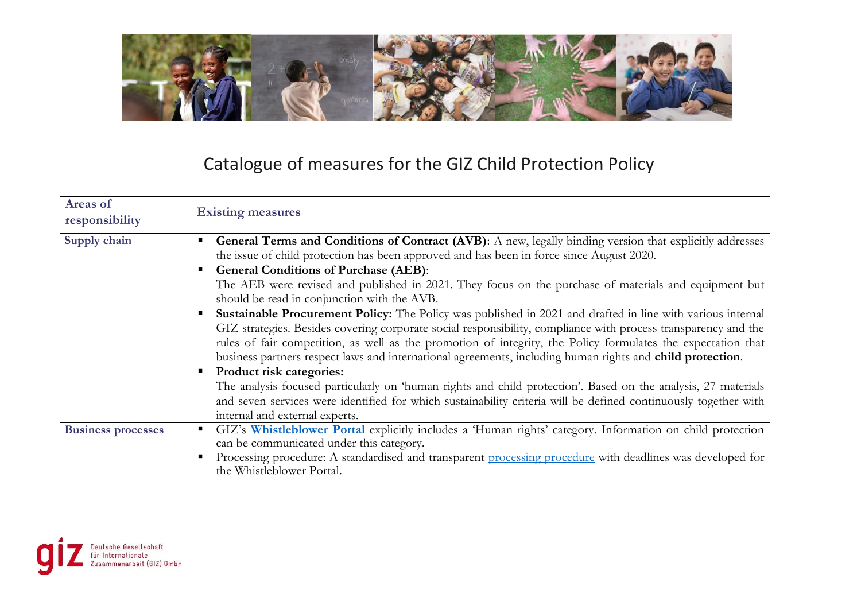

## Catalogue of measures for the GIZ Child Protection Policy

| Areas of<br>responsibility | <b>Existing measures</b>                                                                                                                                                                                                                                                                                                                                                                                                                                                                                                                                                                                                                                                                                                                                                                                                                                                                                                                                                                                                                                                                                                                                                         |
|----------------------------|----------------------------------------------------------------------------------------------------------------------------------------------------------------------------------------------------------------------------------------------------------------------------------------------------------------------------------------------------------------------------------------------------------------------------------------------------------------------------------------------------------------------------------------------------------------------------------------------------------------------------------------------------------------------------------------------------------------------------------------------------------------------------------------------------------------------------------------------------------------------------------------------------------------------------------------------------------------------------------------------------------------------------------------------------------------------------------------------------------------------------------------------------------------------------------|
| Supply chain               | General Terms and Conditions of Contract (AVB): A new, legally binding version that explicitly addresses<br>п<br>the issue of child protection has been approved and has been in force since August 2020.<br><b>General Conditions of Purchase (AEB):</b><br>The AEB were revised and published in 2021. They focus on the purchase of materials and equipment but<br>should be read in conjunction with the AVB.<br>Sustainable Procurement Policy: The Policy was published in 2021 and drafted in line with various internal<br>GIZ strategies. Besides covering corporate social responsibility, compliance with process transparency and the<br>rules of fair competition, as well as the promotion of integrity, the Policy formulates the expectation that<br>business partners respect laws and international agreements, including human rights and child protection.<br>Product risk categories:<br>The analysis focused particularly on 'human rights and child protection'. Based on the analysis, 27 materials<br>and seven services were identified for which sustainability criteria will be defined continuously together with<br>internal and external experts. |
| <b>Business processes</b>  | GIZ's Whistleblower Portal explicitly includes a 'Human rights' category. Information on child protection<br>can be communicated under this category.<br>Processing procedure: A standardised and transparent processing procedure with deadlines was developed for<br>the Whistleblower Portal.                                                                                                                                                                                                                                                                                                                                                                                                                                                                                                                                                                                                                                                                                                                                                                                                                                                                                 |